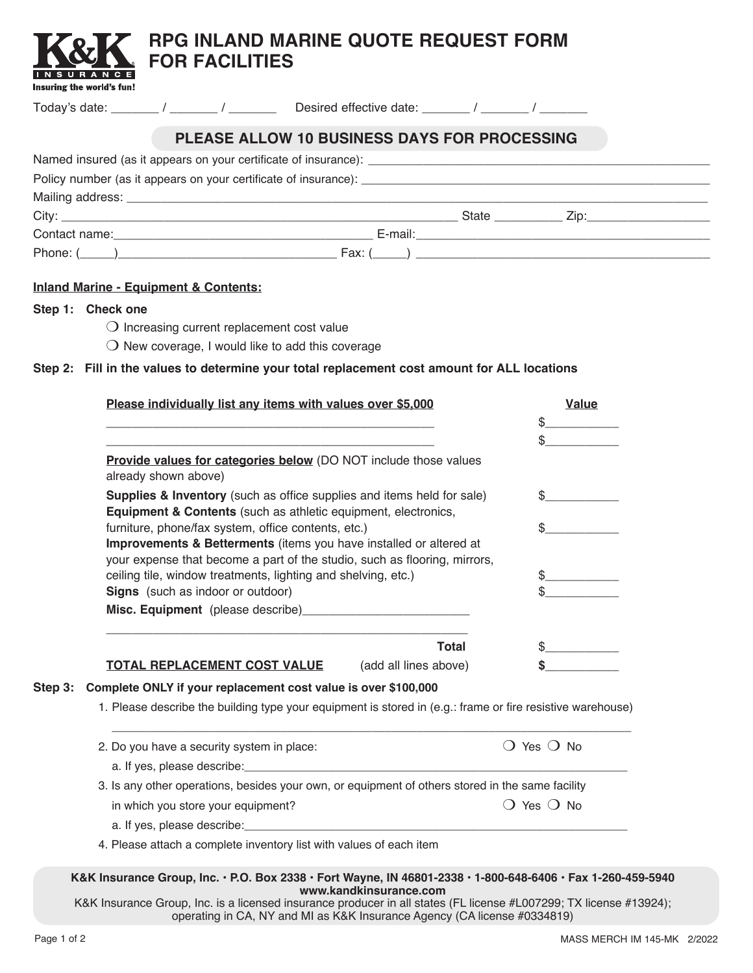

**Contract** 

| PLEASE ALLOW 10 BUSINESS DAYS FOR PROCESSING |  |
|----------------------------------------------|--|
|                                              |  |
|                                              |  |
|                                              |  |
|                                              |  |
|                                              |  |
|                                              |  |

## **Inland Marine - Equipment & Contents:**

## **Step 1: Check one**

Insuring the world's fun!

×. o a  $\mathbb{R}^2$ 

- $\bigcirc$  Increasing current replacement cost value
- $\bigcirc$  New coverage, I would like to add this coverage

# **Step 2: Fill in the values to determine your total replacement cost amount for ALL locations**

|         | Please individually list any items with values over \$5,000                                                                                                                                                                    | <b>Value</b>                 |  |  |  |
|---------|--------------------------------------------------------------------------------------------------------------------------------------------------------------------------------------------------------------------------------|------------------------------|--|--|--|
|         |                                                                                                                                                                                                                                | \$                           |  |  |  |
|         |                                                                                                                                                                                                                                | \$                           |  |  |  |
|         | <b>Provide values for categories below</b> (DO NOT include those values<br>already shown above)                                                                                                                                |                              |  |  |  |
|         | <b>Supplies &amp; Inventory</b> (such as office supplies and items held for sale)<br><b>Equipment &amp; Contents</b> (such as athletic equipment, electronics,                                                                 |                              |  |  |  |
|         | furniture, phone/fax system, office contents, etc.)                                                                                                                                                                            |                              |  |  |  |
|         | Improvements & Betterments (items you have installed or altered at                                                                                                                                                             |                              |  |  |  |
|         | your expense that become a part of the studio, such as flooring, mirrors,                                                                                                                                                      |                              |  |  |  |
|         | ceiling tile, window treatments, lighting and shelving, etc.)<br>Signs (such as indoor or outdoor)                                                                                                                             | S.                           |  |  |  |
|         |                                                                                                                                                                                                                                |                              |  |  |  |
|         |                                                                                                                                                                                                                                |                              |  |  |  |
|         | <b>Total</b>                                                                                                                                                                                                                   |                              |  |  |  |
|         | TOTAL REPLACEMENT COST VALUE<br>(add all lines above)                                                                                                                                                                          |                              |  |  |  |
| Step 3: | Complete ONLY if your replacement cost value is over \$100,000                                                                                                                                                                 |                              |  |  |  |
|         | 1. Please describe the building type your equipment is stored in (e.g.: frame or fire resistive warehouse)                                                                                                                     |                              |  |  |  |
|         | 2. Do you have a security system in place:                                                                                                                                                                                     | $\bigcirc$ Yes $\bigcirc$ No |  |  |  |
|         | a. If yes, please describe: expression and the set of year and the set of years and the set of years and the set of years and the set of years and the set of years and the set of years and the set of years and years and ye |                              |  |  |  |
|         | 3. Is any other operations, besides your own, or equipment of others stored in the same facility                                                                                                                               |                              |  |  |  |
|         | in which you store your equipment?                                                                                                                                                                                             | $\bigcirc$ Yes $\bigcirc$ No |  |  |  |
|         |                                                                                                                                                                                                                                |                              |  |  |  |
|         |                                                                                                                                                                                                                                |                              |  |  |  |

#### **K&K Insurance Group, Inc. • P.O. Box 2338 • Fort Wayne, IN 46801-2338 • 1-800-648-6406 • Fax 1-260-459-5940 www.kandkinsurance.com**

K&K Insurance Group, Inc. is a licensed insurance producer in all states (FL license #L007299; TX license #13924); operating in CA, NY and MI as K&K Insurance Agency (CA license #0334819)